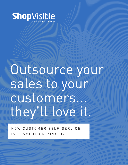

# Outsource your sales to your customers... they'll love it.

HOW CUSTOMER SELF-SERVICE IS REVOLUTIONIZING B2B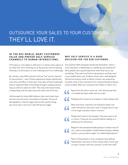### OUTSOURCE YOUR SALES TO YOUR CUSTOWERS THEY'LL LOVE IT.

**TARK AND REAL PROPERTY AND REAL PROPERTY.** 

#### **IN THE B2C WORLD, MANY CUSTOMERS VALUE AND PREFER SELF-SERVICE CHANNELS TO HUMAN INTERACTIONS.**

Think about it. Our ability to self-serve is in almost every aspect of our daily lives, from checking out at the grocery store to banking, checking in at the airport, to even ordering lunch via a mobile app.

By contrast, many B2B customers still use "live" service channels for procurement – even if these experiences require significantly more time and effort on their part. And many of these individuals have an ingrained habit of thumbing through a catalog and picking up a phone to place an order. They may even enjoy having a relationship with the sales rep at the other end of the line.

Unfortunately for these B2B holdouts, their work styles have become very old school. According to Forrester, "Across all demographics, channel usage rates are also quickly changing: we've seen a 12% rise in web self-service usage."

#### **W hy self-serv ice i s a g o o d d eci s ion for the b2b customer.**

One question B2B companies should ask themselves: what is more important, a relationship or a satisfying user experience? Most people want a good experience when they buy or use something. They want low-friction transactions, and they want to accomplish them now. Evidence shows that a well designed self-service scenario tends to deliver a better user experience. Consider a few of the comments from a Harvard Business Review article entitled *"Why Your Customers Don't Want to Talk to You"*:

- "Apart from the time it saves me, I also feel assured that no mistake has been made with my order"
- "Dealing with a human at a company is nearly always slow"

"More and more customers are looking for better and smart self-service, they don't want to simply have to wait in line to get a product and/or a service."

"People don't want to be harassed. They also want to be in control. Those are two powerful desires leading to a preference for self service.

"Bingo! For the transactional daily business I conduct most often, I want to accomplish it myself without having to defend, justify, or put up with an agent. It's called independence."

"Much of the problem is how companies have defined "relationship," and many of them simply meant "some way to stay in contact with the customer, to sell more stuff."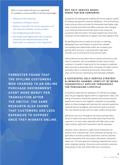What is it that makes self service so appealing? It's probably a compound effect of all these advantages:

- Efficiency of the interaction
- Satisfaction of being in control
- Ability to "time shift" the service experience to fit the customer's schedule, not the provider's
- Fear of high pressure sales tactics
- And maybe most frightening of all to corporate executives, the reduced importance of the "relationship" in comparison to the "experience"

**FORRESTER FOUND THAT THE OFFLINE CUSTOMERS** WHO CHANGED TO AN ONLINE **PURCHASE ENVIRONMENT SPENT MORE MONEY PER TRANSACTION AFTER THE SWITCH. THE SAME RESEARCH ALSO SHOWS THAT CUSTOMERS ARE LESS EXPENSIVE TO SUPPORT ONCE THEY MIGRATE ONLINE.** 

#### WHY SELF-SERVICE MAKES **SENSE FOR B2B COMPANIES**

Companies are realizing that enabling self-service support is good for business and good for customer satisfaction. First and foremost, buyers who go online and order for themselves have higher order value. Forrester found that the offline customers who changed to an online purchase environment spent more money per transaction after the switch. The same research also shows that customers are less expensive to support once they migrate online.

By spending less time on tasks such as basic re-ordering, salespeople have new freedom to spend their valuable time building new relationships within the company, prospecting other accounts, or pursuing other high value activities such as training and more premium sales.

Online self-service also allows firms to attract and service a new class of customers, who are profitable to them only as online customers. It wouldn't make sense for the company to dedicate sales resources to personally call on this group of smaller-volume purchasers. But in a self-serve environment, these relationships can be very low maintenance and ultimately profitable.

#### **A SUCCESSFUL SELF-SERVICE STRATEGY ELIMINATES CHANNEL CONFLICT BY BEING THOUGHTFULLY APPLIED THROUGHOUT the purchas i ng l i f ecycl e**

It should be noted that the realization of a self-service strategy does not just magically happen within an organization. Sales, marketing, eCommerce, distribution partners and customer service departments have to work together cohesively to successfully deliver on these strategies and optimize the customer experience. Channels have to be aligned, and incentives need to promote the cross channel activity, and not create conflict among them.

Self-service can occur throughout the entire purchase lifecycle but it makes most sense the further down that funnel the customer is. In many cases, especially with high value or specialty products, high touch interactions may be necessary.

However, when a decision is made, future interactions can become more "transactional." Once customers are buying, it's a good idea to introduce product assortment, and let customers educate themselves with rich product information, interactive videos, etc. The same goes for reordering, replenishment, accessories, shipping, tracking - those are routine activities customers enjoy doing on their own and at their own convenience.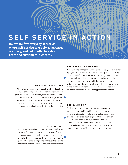## $S$ **ELF**  $S$ **ERV**

**Below are few everyday scenarios where self-service saves time, increases accuracy, and puts both the sales team and customers in control.**

#### **THE FACILITY MANAGER**

low on parts for upcoming machinery maintenance. He goes online to his parts provider, views his previous orders, and re-orders exactly what he needs. The system also recommends the appropriate accessories and installation tools, and he realizes he could use those too. He places his order and is back on track with his day in minutes.

#### **the researcher**

samples. She needs to have the authorization from the department chair to place the order but she can go online to the supplier, set up the order according to the department's agreed upon pricing, and route the order to department chair to authorize and place the final order.

#### **the market i ng manager**

The marketing manager for an insurance company needs to order logo gear for the sales team across the country. He's able to log on to the seller's system, see his company's logo wear, and the contractually agreed product assortment and price schedule. He can see that they have available inventory and places an order for 100 golf shirts and 100 boxes of their logo pens – and selects from the different locations in his account history to While a facility manager is on the phone, he realizes he is  $\parallel$  have them sent to all the separate appropriate field offices.

#### **the sales rep**

A sales rep is onsite speaking with a plant manager at a manufacturing facility and is telling him about a new piece of safety equipment. Instead of pulling out a printed catalog, the sales rep is able to pull up the online catalog of all the new products using her iPad to show the new product. There is so much more information available online, including pictures, specifications, and videos, that the A university researcher is in need of some specific virus europeent makes a decision on the spot to place an order.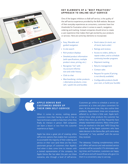#### **KEY ELEMENTS OF A "BEST PRACTICES" APPROACH TO ONLINE SELF-SERVICE**

One of the largest inhibitors to B2B self service, is the quality of the self-service experience provided by the B2B website. Because of their everyday experiences as consumers, customers have low thresholds for frustration when it comes to search, navigation, ordering and tracking. Instead companies should strive to create a user experience that makes them get excited by your products or services. Here are some key elements to incorporate:

- • Easy, filterable and guided navigation
- In-site search
- Rich product displays
- Detailed product information (with specifications, multiple product views, pricing, etc.)
- • Recognize "me" with my account information and order history
- Click to chat
- Merchandising: similar products / alternative products; crosssell / upsell; kits and bundles
- Stock status (in stock, out of stock, back-order)
- • Ratings and reviews
- • Access to orders, ability to repeat orders, and to schedule continuity/reorder programs
- Shipment tracking
- • Returns management
- Contact sales
- Request for quote (if pricing is not directly available)
- Configurable products (build your own, or build your bundle)

#### **Apple Ge n iu s B a r CUSTOMERS ORDER UP THEIR OWN SELF-SERVICE**

网络医宫

When it comes to service, nothing peeves customers more than having to wait in line or have technicians unable to help them when they finally do interact in person. B2B companies can learn a lesson or two from the customer experience at Apple.

Apple has done a great job of creating online self-service options that enable their customers to accomplish the majority of their ordering and service on their own (and there are few more passionate groups of customers than Apple's). And when it does come time to interact with a trained representative of the company, the Apple Genius Bar has taken the pain out these scenarios, also through a level of self-service.

Customers go online to schedule a service appointment at a time and place convenient for them. At the same time, they also outline their problems. Appointment times are scrupulously adhered to, so there is little wait. Apple technicians know what products the customer has before they show up, and they frequently have already researched solutions. Many times problems are resolved on the spot. NPD Group has found that of the Apple customers who have taken devices to the Genius Bar, 90% came away "extremely" or "very satisfied" with the service they received.

The takeaway: Creating complementary online and offline self-service and web-assisted service scenarios will be successful. If it eliminates waiting times and frustration, customers are happy to self-serve and will reward those who give it to them in a convenient, easy to use way.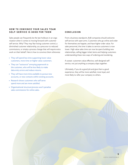#### **HOW TO CONVINCE YOUR SALES TEAM SELF-SERVICE IS GOOD FOR THEM**

Sales people can frequently be the last holdouts in an organization when it comes to moving forward with customer self service. Why? They may fear losing customer control, a diminished customer relationship, as a precursor to reduced commissions, or simply a process change that will require extra work on their behalf. Here is how to convince them otherwise:

- They will spend less time supporting lower value customers, more time on higher value customers.
- They can "outsource" annoying paperwork to the customer, who will be less likely to make data entry errors and reduce returns.
- They will have more time available to pursue new accounts, or new contacts within existing accounts.
- Research shows customers who self serve spend more and are more satisfied.
- Organizational structure/process won't penalize sales commissions for online sales.

#### **Con clus io n**

From a business standpoint, B2B companies should welcome self-service with open arms. Customers who go online and order for themselves are happier, and have higher order value. For sales personnel, the time it takes to service customers is now lower. High value sales time can now be spent building new relationships, selling bigger ticket items and helping customers understanding these new ways of ordering and reordering.

A caveat: customers value effective, well-designed selfservice, not just anything a company slaps together.

Ultimately, if you do a good job and give them a good experience, they will be more satisfied, more loyal, and more likely to refer your company to others.

**5**